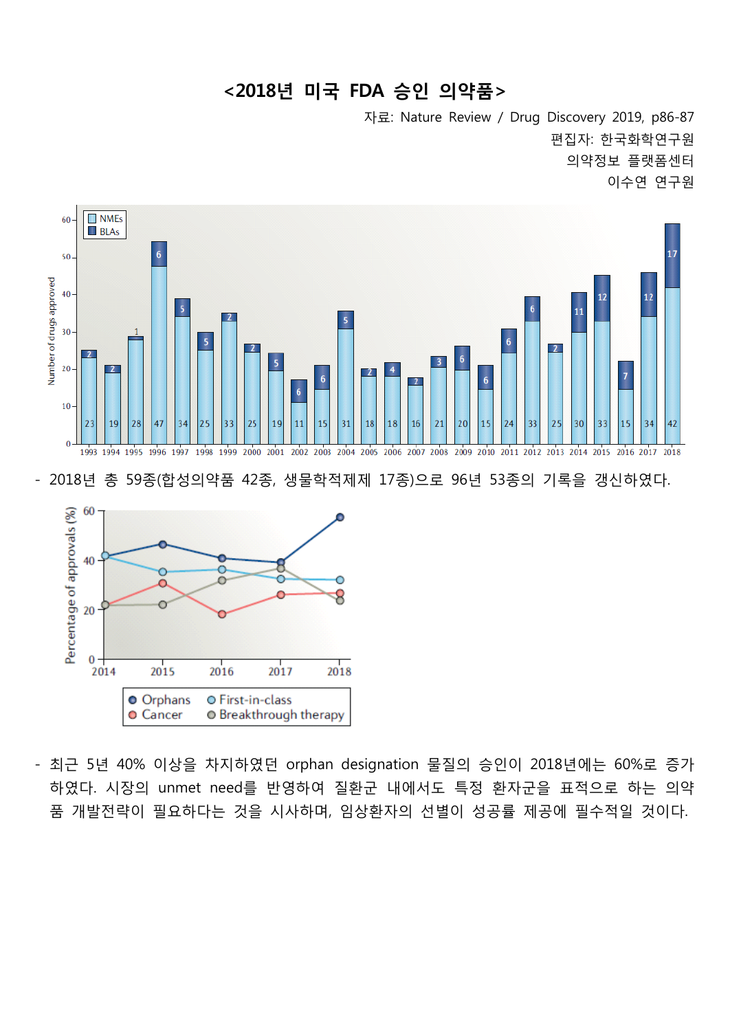## **<2018년 미국 FDA 승인 의약품>**

자료: Nature Review / Drug Discovery 2019, p86-87 편집자: 한국화학연구원 의약정보 플랫폼센터 이수연 연구원



- 2018년 총 59종(합성의약품 42종, 생물학적제제 17종)으로 96년 53종의 기록을 갱신하였다.



- 최근 5년 40% 이상을 차지하였던 orphan designation 물질의 승인이 2018년에는 60%로 증가 하였다. 시장의 unmet need를 반영하여 질환군 내에서도 특정 환자군을 표적으로 하는 의약 품 개발전략이 필요하다는 것을 시사하며, 임상환자의 선별이 성공률 제공에 필수적일 것이다.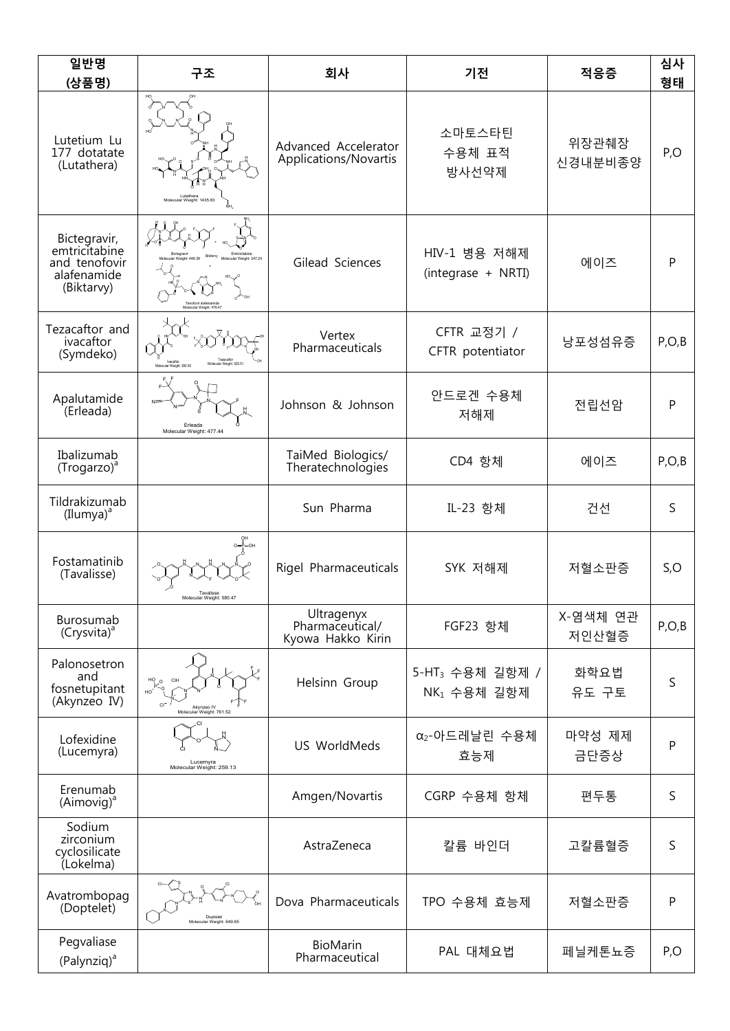| 일반명<br>(상품명)                                                                | 구조                                                               | 회사                                                 | 기전                                         | 적응증               | 심사<br>형태     |
|-----------------------------------------------------------------------------|------------------------------------------------------------------|----------------------------------------------------|--------------------------------------------|-------------------|--------------|
| Lutetium Lu<br>177 dotatate<br>(Lutathera)                                  | Lutather<br>ecular Weight: 1435 63                               | Advanced Accelerator<br>Applications/Novartis      | 소마토스타틴<br>수용체 표적<br>방사선약제                  | 위장관췌장<br>신경내분비종양  | P, O         |
| Bictegravir,<br>emtricitabine<br>and tenofovir<br>alafenamide<br>(Biktarvy) | Tenofovir alafenamide<br>Adecular Weight: 476.47                 | Gilead Sciences                                    | HIV-1 병용 저해제<br>에이즈<br>(integrase + NRTI)  |                   | $\mathsf{P}$ |
| Tezacaftor and<br>ivacaftor<br>(Symdeko)                                    |                                                                  | Vertex<br>Pharmaceuticals                          | CFTR 교정기 /<br>CFTR potentiator             | 낭포성섬유증            | P, O, B      |
| Apalutamide<br>(Erleada)                                                    | Erleada<br>Molecular Weight: 477.44                              | Johnson & Johnson                                  | 안드로겐 수용체<br>저해제                            | 전립선암              | $\mathsf{P}$ |
| Ibalizumab<br>$(Troqarzo)^{a}$                                              |                                                                  | TaiMed Biologics/<br>Theratechnologies             | CD4 항체                                     | 에이즈               | P, O, B      |
| Tildrakizumab<br>$(Ilumpa)^a$                                               |                                                                  | Sun Pharma                                         | IL-23 항체                                   | 건선                | S            |
| Fostamatinib<br>(Tavalisse)                                                 | Tavalisse<br>Molecular Weight: 580.47                            | Rigel Pharmaceuticals                              | SYK 저해제                                    | 저혈소판증             | S, O         |
| Burosumab<br>(Crysvita) <sup>a</sup>                                        |                                                                  | Ultragenyx<br>Pharmaceutical/<br>Kyowa Hakko Kirin | FGF23 항체                                   | X-염색체 연관<br>저인산혈증 | P, O, B      |
| Palonosetron<br>and<br>fosnetupitant<br>(Akynzeo IV)                        | $\mu_{\rm B}^{\rm CO}$<br>Akynzeo IV<br>Molecular Weight: 761.52 | Helsinn Group                                      | 5-HT <sub>3</sub> 수용체 길항제 /<br>NK1 수용체 길항제 | 화학요법<br>유도 구토     | S            |
| Lofexidine<br>(Lucemyra)                                                    | Lucemyra<br>Molecular Weight: 259.13                             | US WorldMeds                                       | α <sub>2</sub> -아드레날린 수용체<br>효능제           | 마약성 제제<br>금단증상    | P            |
| Erenumab<br>$(Aimovig)^a$                                                   |                                                                  | Amgen/Novartis                                     | CGRP 수용체 항체                                | 편두통               | S            |
| Sodium<br>zirconium<br>cyclosilicate<br>(Lokelma)                           |                                                                  | AstraZeneca                                        | 칼륨 바인더                                     | 고칼륨혈증             | S            |
| Avatrombopag<br>(Doptelet)                                                  | Doptelet<br>Molecular Weight: 649.65                             | Dova Pharmaceuticals                               | TPO 수용체 효능제                                | 저혈소판증             | $\mathsf{P}$ |
| Pegvaliase<br>(Palynziq) <sup>a</sup>                                       |                                                                  | <b>BioMarin</b><br>Pharmaceutical                  | PAL 대체요법                                   | 페닐케톤뇨증            | P,O          |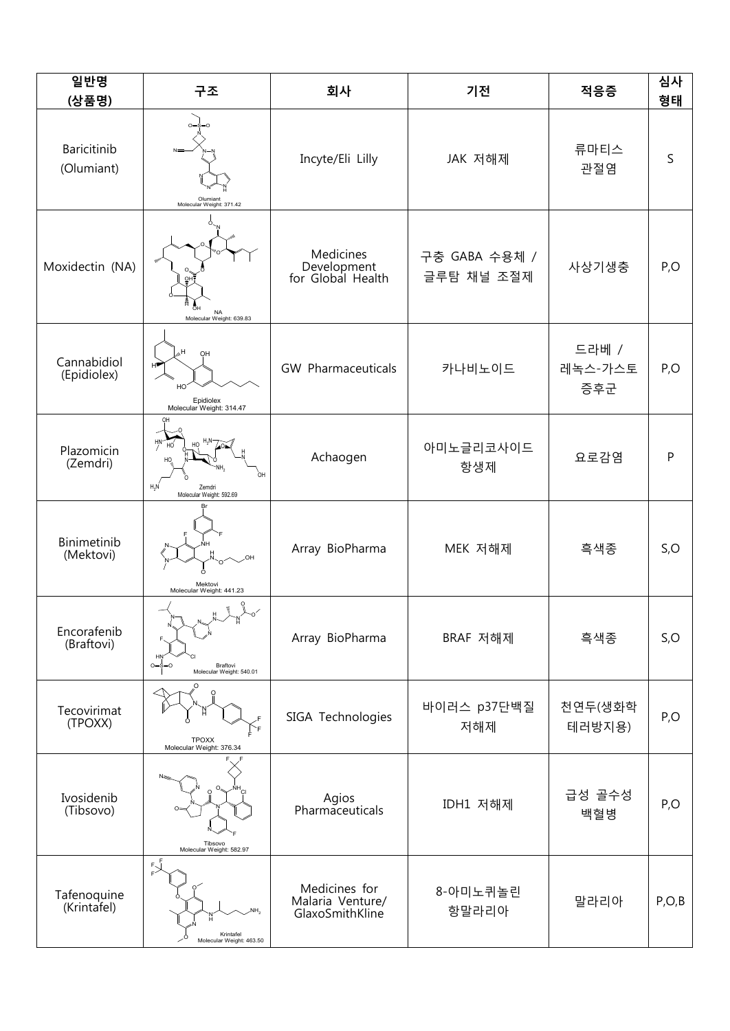| 일반명<br>(상품명)               | 구조                                                          | 회사                                                   | 기전                          | 적응증                     | 심사<br>형태    |
|----------------------------|-------------------------------------------------------------|------------------------------------------------------|-----------------------------|-------------------------|-------------|
| Baricitinib<br>(Olumiant)  | Olumiant<br>Molecular Weight: 371.42                        | Incyte/Eli Lilly                                     | JAK 저해제                     | 류마티스<br>관절염             | $\mathsf S$ |
| Moxidectin (NA)            | MA<br>Molecular Weight: 639.83                              | Medicines<br>Development<br>for Global Health        | 구충 GABA 수용체 /<br>글루탐 채널 조절제 | 사상기생충                   | P, O        |
| Cannabidiol<br>(Epidiolex) | OH<br>нP<br>HO<br>Epidiolex<br>Molecular Weight: 314.47     | GW Pharmaceuticals                                   | 카나비노이드                      | 드라베 /<br>레녹스-가스토<br>증후군 | P, O        |
| Plazomicin<br>(Zemdri)     | $H_2N$<br>Zemdri<br>Molecular Weight: 592.69                | Achaogen                                             | 아미노글리코사이드<br>항생제            | 요로감염                    | P           |
| Binimetinib<br>(Mektovi)   | Mektovi<br>Molecular Weight: 441.23                         | Array BioPharma                                      | MEK 저해제                     | 흑색종                     | S, O        |
| Encorafenib<br>(Braftovi)  | H<br>$0 = S = 0$<br>Braftovi<br>Molecular Weight: 540.01    | Array BioPharma                                      | BRAF 저해제                    | 흑색종                     | S, O        |
| Tecovirimat<br>(TPOXX)     | TPOXX<br>Molecular Weight: 376.34                           | SIGA Technologies                                    | 바이러스 p37단백질<br>저해제          | 천연두(생화학<br>테러방지용)       | P, O        |
| Ivosidenib<br>(Tibsovo)    | Tibsovo<br>Molecular Weight: 582.97                         | Agios<br>Pharmaceuticals                             | IDH1 저해제                    | 급성 골수성<br>백혈병           | P, O        |
| Tafenoquine<br>(Krintafel) | $\sum_{r=1}^{r-1}$<br>Krintafel<br>Molecular Weight: 463.50 | Medicines for<br>Malaria Venture/<br>GlaxoSmithKline | 8-아미노퀴놀린<br>항말라리아           | 말라리아                    | P, O, B     |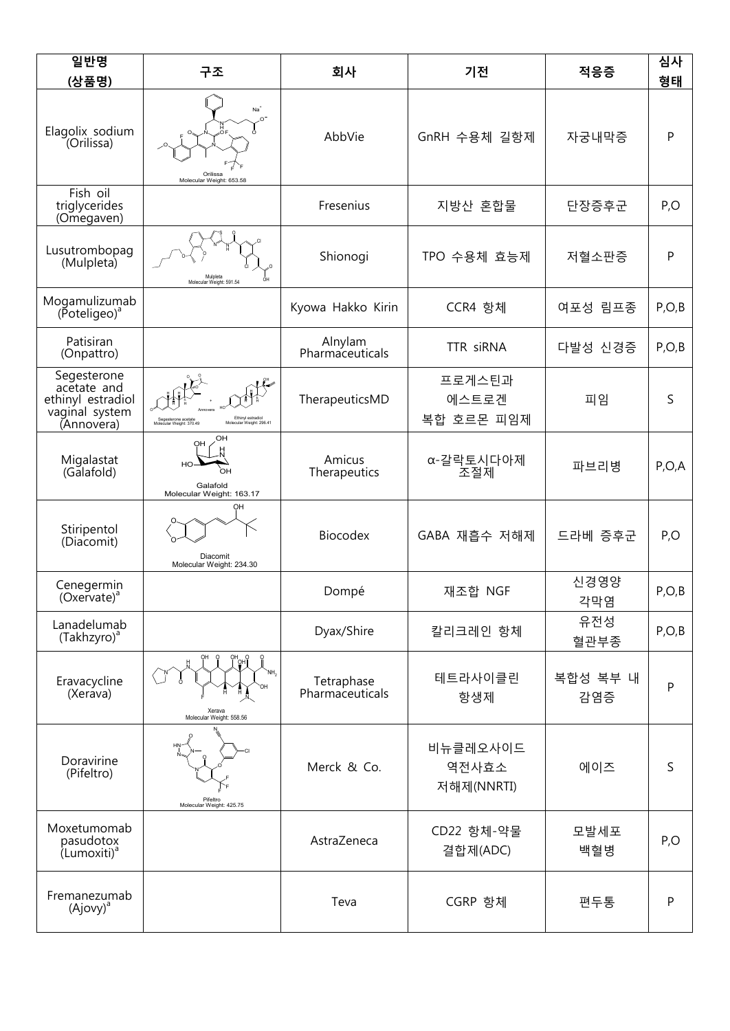| 일반명<br>(상품명)                                                                    | 구조                                                                                               | 회사                            | 기전                              | 적응증             | 심사<br>형태     |  |
|---------------------------------------------------------------------------------|--------------------------------------------------------------------------------------------------|-------------------------------|---------------------------------|-----------------|--------------|--|
| Elagolix sodium<br>(Orilissa)                                                   | $Na+$<br>$\Omega$<br>Orilissa<br>Molecular Weight: 653.58                                        | AbbVie                        | GnRH 수용체 길항제                    | 자궁내막증           | $\mathsf{P}$ |  |
| Fish oil<br>triglycerides<br>(Omegaven)                                         |                                                                                                  | Fresenius                     | 지방산 혼합물                         |                 | P, O         |  |
| Lusutrombopag<br>(Mulpleta)                                                     | Mulpleta<br>Molecular Weight: 591.54                                                             | Shionogi                      | TPO 수용체 효능제                     | 저혈소판증           | $\mathsf{P}$ |  |
| Mogamulizumab<br>(Poteligeo) <sup>a</sup>                                       |                                                                                                  | Kyowa Hakko Kirin             | CCR4 항체                         | 여포성 림프종         | P, O, B      |  |
| Patisiran<br>(Onpattro)                                                         |                                                                                                  | Alnylam<br>Pharmaceuticals    | TTR siRNA                       | 다발성 신경증         | P, O, B      |  |
| Segesterone<br>acetate and<br>ethinyl estradiol<br>vaginal system<br>(Annovera) | Ethinyl estradiol<br>Molecular Weight: 296.41<br>Segesterone acetate<br>Molecular Weight: 370.49 | TherapeuticsMD                | 프로게스틴과<br>에스트로겐<br>복합 호르몬 피임제   | 피임              | $\mathsf S$  |  |
| Migalastat<br>(Galafold)                                                        | Ω⊢<br>OН<br>HO<br>OH<br>Galafold<br>Molecular Weight: 163.17                                     | Amicus<br>Therapeutics        | α-갈락토시다아제<br>조절체                | 파브리병            | P, O, A      |  |
| Stiripentol<br>(Diacomit)                                                       | OН<br>Diacomit<br>Molecular Weight: 234.30                                                       | <b>Biocodex</b>               | GABA 재흡수 저해제                    | 드라베 증후군         | P, O         |  |
| Cenegermin<br>$(Oxe\bar{v}ate)^a$                                               |                                                                                                  | Dompé                         | 재조합 NGF                         | 신경영양<br>각막염     | P, O, B      |  |
| Lanadelumab<br>(Takhzyro) <sup>a</sup>                                          |                                                                                                  | Dyax/Shire                    | 칼리크레인 항체                        | 유전성<br>혈관부종     | P, O, B      |  |
| Eravacycline<br>(Xeráva)                                                        | י<br> ⊮ף<br>Xerava<br>Molecular Weight: 558.56                                                   | Tetraphase<br>Pharmaceuticals | 테트라사이클린<br>항생제                  | 복합성 복부 내<br>감염증 | $\mathsf{P}$ |  |
| Doravirine<br>(Pifeltro)                                                        | Pifeltro<br>Molecular Weight: 425.75                                                             | Merck & Co.                   | 비뉴클레오사이드<br>역전사효소<br>저해제(NNRTI) | 에이즈             | $\mathsf S$  |  |
| Moxetumomab<br>pasudotox<br>(Lumoxiti) <sup>a</sup>                             |                                                                                                  | AstraZeneca                   | CD22 항체-약물<br>결합제(ADC)          | 모발세포<br>백혈병     | P, O         |  |
| Fremanezumab<br>$(Ajovy)^a$                                                     |                                                                                                  | Teva                          | CGRP 항체                         | 편두통             | $\mathsf{P}$ |  |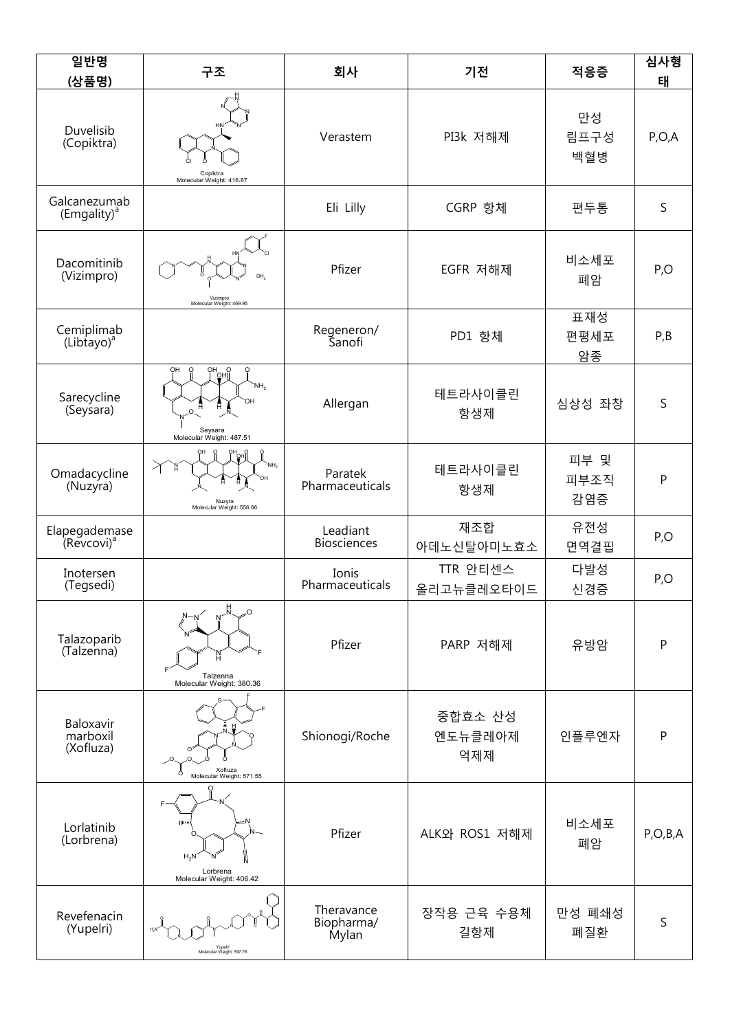| 일반명<br>(상품명)                            | 구조                                                                             | 회사                                | 기전                        | 적응증                 | 심사형<br>태   |
|-----------------------------------------|--------------------------------------------------------------------------------|-----------------------------------|---------------------------|---------------------|------------|
| Duvelisib<br>(Copiktra)                 | Copiktra<br>Molecular Weight: 416.87                                           | Verastem                          | PI3k 저해제                  | 만성<br>림프구성<br>백혈병   | P, O, A    |
| Galcanezumab<br>(Emgality) <sup>a</sup> |                                                                                | Eli Lilly                         | CGRP 항체                   | 편두통                 | S          |
| Dacomitinib<br>(Vizimpro)               | Vizimpro<br>Molecular Weight: 469.95                                           | Pfizer                            | EGFR 저해제                  | 비소세포<br>폐암          | P, O       |
| Cemiplimab<br>(Libtayo) <sup>a</sup>    |                                                                                | Regeneron/<br>Sanofi              | PD1 항체                    | 표재성<br>편평세포<br>암종   | P, B       |
| Sarecycline<br>(Seysara)                | OH<br>OH<br>  OH<br> <br>Ö<br>'NH.<br>Ħ<br>Seysara<br>Molecular Weight: 487.51 | Allergan                          | 테트라사이클린<br>항생제            | 심상성 좌창              | S          |
| Omadacycline<br>(Nuzyra)                | ╱<br>Nuzyra<br>Molecular Weight: 556.66                                        | Paratek<br>Pharmaceuticals        | 테트라사이클린<br>항생제            | 피부 및<br>피부조직<br>감염증 | P          |
| Elapegademase<br>(Revcovi) <sup>a</sup> |                                                                                | Leadiant<br><b>Biosciences</b>    | 재조합<br>아데노신탈아미노효소         | 유전성<br>면역결핍         | P, O       |
| Inotersen<br>(Tegsedi)                  |                                                                                | Ionis<br>Pharmaceuticals          | TTR 안티센스<br>올리고뉴클레오타이드    | 다발성<br>신경증          | P, O       |
| Talazoparib<br>(Talzenna)               | Talzenna<br>Molecular Weight: 380.36                                           | Pfizer                            | PARP 저해제                  | 유방암                 | P          |
| Baloxavir<br>marboxil<br>(Xofluza)      | Xofluza<br>Molecular Weight: 571.55                                            | Shionogi/Roche                    | 중합효소 산성<br>엔도뉴클레아제<br>억제제 | 인플루엔자               | P          |
| Lorlatinib<br>(Lorbrena)                | llin<br>$H_2N$<br>Lorbrena<br>Molecular Weight: 406.42                         | Pfizer                            | ALK와 ROS1 저해제             | 비소세포<br>폐암          | P, O, B, A |
| Revefenacin<br>(Yupelri)                | Yupelr<br>Molecular Weight: 597.76                                             | Theravance<br>Biopharma/<br>Mylan | 장작용 근육 수용체<br>길항제         | 만성 폐쇄성<br>폐질환       | S          |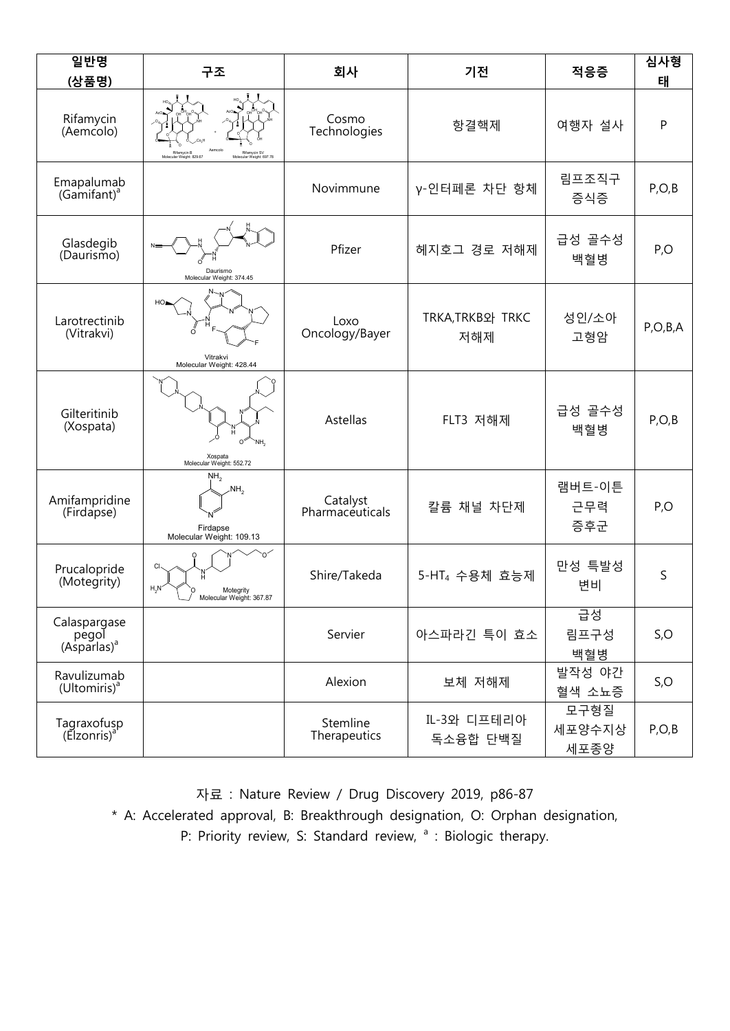| 일반명<br>(상품명)                                     | 구조                                                                                  | 회사                          | 기전                             | 적응증                    | 심사형<br>태   |
|--------------------------------------------------|-------------------------------------------------------------------------------------|-----------------------------|--------------------------------|------------------------|------------|
| Rifamycin<br>(Aemcolo)                           | Rifamycin SV<br>Molecular Weight: 697.78<br>Rifamycin B<br>Molecular Weight: 829.67 | Cosmo<br>Technologies       | 항결핵제                           | 여행자 설사                 | P          |
| Emapalumab<br>(Gamifant) <sup>a</sup>            |                                                                                     | Novimmune                   | γ-인터페론 차단 항체                   | 림프조직구<br>증식증           | P, O, B    |
| Glasdegib<br>(Daurismo)                          | Daurismo<br>Molecular Weight: 374.45                                                | Pfizer                      | 헤지호그 경로 저해제                    | 급성 골수성<br>백혈병          | P, O       |
| Larotrectinib<br>(Vitrakvi)                      | HO<br>Ő<br>Vitrakvi<br>Molecular Weight: 428.44                                     | Loxo<br>Oncology/Bayer      | <b>TRKA, TRKB와 TRKC</b><br>저해제 | 성인/소아<br>고형암           | P, O, B, A |
| Gilteritinib<br>(Xospata)                        | O <sup>2</sup><br>NH.<br>Xospata<br>Molecular Weight: 552.72                        | Astellas                    | FLT3 저해제                       | 급성 골수성<br>백혈병          | P, O, B    |
| Amifampridine<br>(Firdapse)                      | NH <sub>2</sub><br>$\mathcal{N}H_2$<br>Firdapse<br>Molecular Weight: 109.13         | Catalyst<br>Pharmaceuticals | 칼륨 채널 차단제                      | 램버트-이튼<br>근무력<br>증후군   | P, O       |
| Prucalopride<br>(Motegrity)                      | CI-<br>$H_2N$<br>Motegrity<br>Molecular Weight: 367.87                              | Shire/Takeda                | 5-HT <sub>4</sub> 수용체 효능제      | 만성 특발성<br>변비           | S          |
| Calaspargase<br>pegol<br>(Asparlas) <sup>a</sup> |                                                                                     | Servier                     | 아스파라긴 특이 효소                    | 급성<br>림프구성<br>백혈병      | S, O       |
| Ravulizumab<br>(Ultomiris) <sup>a</sup>          |                                                                                     | Alexion                     | 보체 저해제                         | 발작성 야간<br>혈색 소뇨증       | S, O       |
| Tagraxofusp<br>(Elzonris) <sup>a</sup>           |                                                                                     | Stemline<br>Therapeutics    | IL-3와 디프테리아<br>독소융합 단백질        | 모구형질<br>세포양수지상<br>세포종양 | P, O, B    |

자료 : Nature Review / Drug Discovery 2019, p86-87

\* A: Accelerated approval, B: Breakthrough designation, O: Orphan designation,

P: Priority review, S: Standard review, <sup>a</sup> : Biologic therapy.